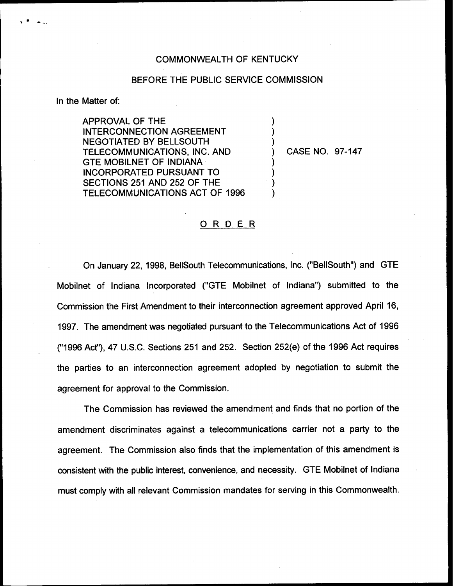## COMMONWEALTH OF KENTUCKY

## BEFORE THE PUBLIC SERVICE COMMISSION

) ) )

) ) ) )

In the Matter of:

APPROVAL OF THE INTERCONNECTION AGREEMENT NEGOTIATED BY BELLSOUTH TELECOMMUNICATIONS, INC. AND GTE MOBILNET OF INDIANA INCORPORATED PURSUANT TO SECTIONS 251 AND 252 OF THE TELECOMMUNICATIONS ACT OF 1996

) CASE NO. 97-147

## ORDER

On January 22, 1998, BellSouth Telecommunications, Inc. ("BellSouth") and GTE Mobilnet of Indiana Incorporated ("GTE Mobilnet of Indiana") submitted to the Commission the First Amendment to their interconnection agreement approved April 16, 1997. The amendment was negotiated pursuant to the Telecommunications Act of 1996 ("1996Act"), 47 U.S.C. Sections 251 and 252. Section 252(e) of the 1996 Act requires the parties to an interconnection agreement adopted by negotiation to submit the agreement for approval to the Commission.

The Commission has reviewed the amendment and finds that no portion of the amendment discriminates against a telecommunications carrier not a party to the agreement. The Commission also finds that the implementation of this amendment is consistent with the public interest, convenience, and necessity. GTE Mobilnet of Indiana must comply with all relevant Commission mandates for serving in this Commonwealth.